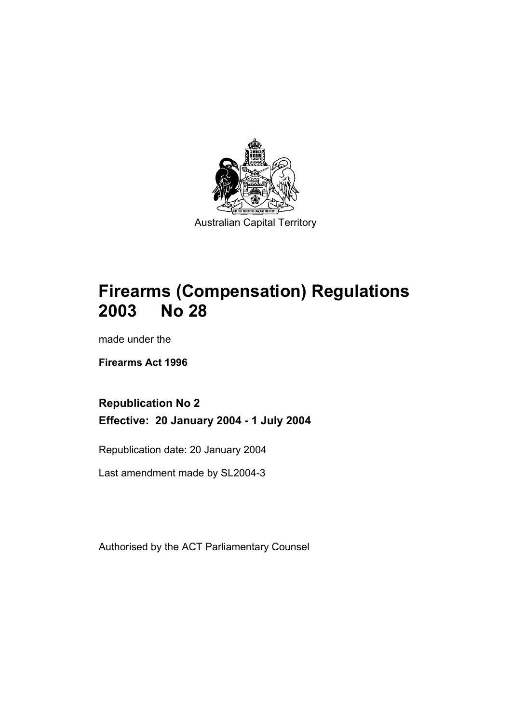

# **Firearms (Compensation) Regulations 2003 No 28**

made under the

**Firearms Act 1996** 

## **Republication No 2 Effective: 20 January 2004 - 1 July 2004**

Republication date: 20 January 2004

Last amendment made by SL2004-3

Authorised by the ACT Parliamentary Counsel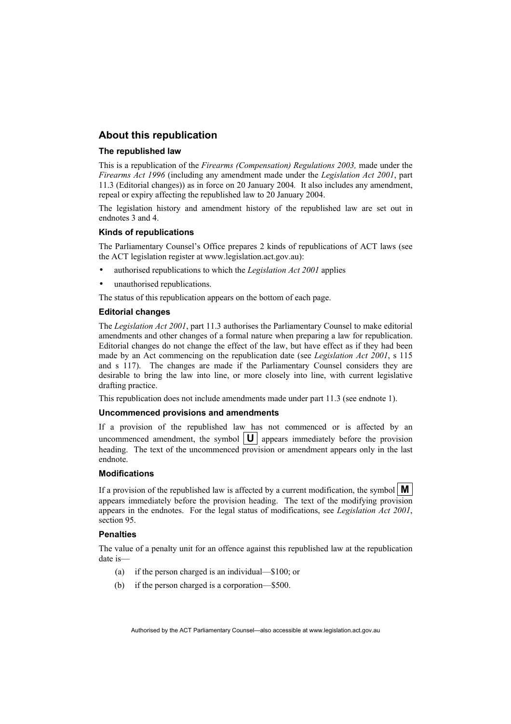## **About this republication**

#### **The republished law**

This is a republication of the *Firearms (Compensation) Regulations 2003,* made under the *Firearms Act 1996* (including any amendment made under the *Legislation Act 2001*, part 11.3 (Editorial changes)) as in force on 20 January 2004*.* It also includes any amendment, repeal or expiry affecting the republished law to 20 January 2004.

The legislation history and amendment history of the republished law are set out in endnotes 3 and 4.

#### **Kinds of republications**

The Parliamentary Counsel's Office prepares 2 kinds of republications of ACT laws (see the ACT legislation register at www.legislation.act.gov.au):

- authorised republications to which the *Legislation Act 2001* applies
- unauthorised republications.

The status of this republication appears on the bottom of each page.

#### **Editorial changes**

The *Legislation Act 2001*, part 11.3 authorises the Parliamentary Counsel to make editorial amendments and other changes of a formal nature when preparing a law for republication. Editorial changes do not change the effect of the law, but have effect as if they had been made by an Act commencing on the republication date (see *Legislation Act 2001*, s 115 and s 117). The changes are made if the Parliamentary Counsel considers they are desirable to bring the law into line, or more closely into line, with current legislative drafting practice.

This republication does not include amendments made under part 11.3 (see endnote 1).

#### **Uncommenced provisions and amendments**

If a provision of the republished law has not commenced or is affected by an uncommenced amendment, the symbol  $|\mathbf{U}|$  appears immediately before the provision heading. The text of the uncommenced provision or amendment appears only in the last endnote.

#### **Modifications**

If a provision of the republished law is affected by a current modification, the symbol  $\mathbf{M}$ appears immediately before the provision heading. The text of the modifying provision appears in the endnotes. For the legal status of modifications, see *Legislation Act 2001*, section 95.

#### **Penalties**

The value of a penalty unit for an offence against this republished law at the republication date is—

- (a) if the person charged is an individual—\$100; or
- (b) if the person charged is a corporation—\$500.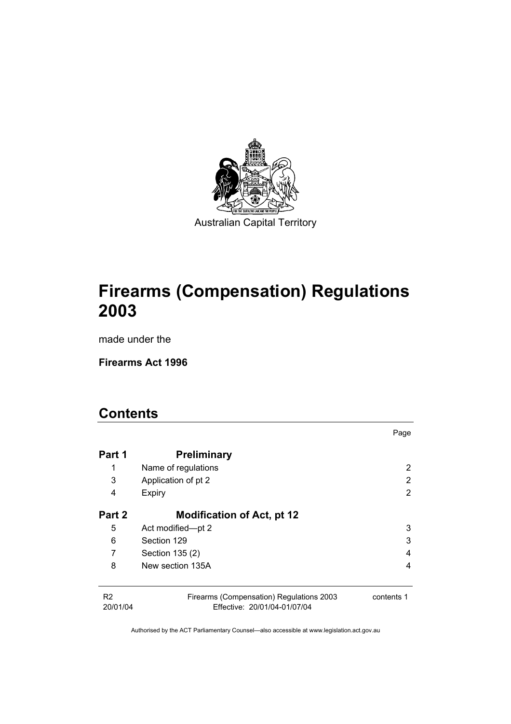

# **Firearms (Compensation) Regulations 2003**

made under the

**Firearms Act 1996** 

## **Contents**

| Part 1                     | <b>Preliminary</b>                                                       |            |
|----------------------------|--------------------------------------------------------------------------|------------|
| 1                          | Name of regulations                                                      | 2          |
| 3                          | Application of pt 2                                                      | 2          |
| 4                          | Expiry                                                                   | 2          |
| Part 2                     | <b>Modification of Act, pt 12</b>                                        |            |
| 5                          | Act modified-pt 2                                                        | 3          |
| 6                          | Section 129                                                              | 3          |
| 7                          | Section 135 (2)                                                          | 4          |
| 8                          | New section 135A                                                         | 4          |
| R <sub>2</sub><br>20/01/04 | Firearms (Compensation) Regulations 2003<br>Effective: 20/01/04-01/07/04 | contents 1 |

Page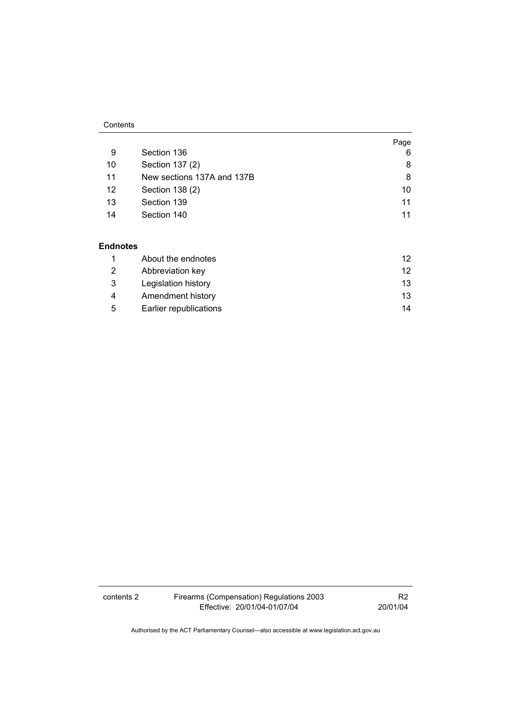#### **Contents**

|                            | Page |
|----------------------------|------|
| Section 136                | 6    |
| Section 137 (2)            | 8    |
| New sections 137A and 137B | 8    |
| Section 138 (2)            | 10   |
| Section 139                | 11   |
| Section 140                | 11   |
|                            |      |

### **Endnotes**

|   | About the endnotes     | 12 |
|---|------------------------|----|
|   | Abbreviation key       | 12 |
| 3 | Legislation history    | 13 |
| 4 | Amendment history      | 13 |
| 5 | Earlier republications | 14 |

contents 2 Firearms (Compensation) Regulations 2003 Effective: 20/01/04-01/07/04

R2 20/01/04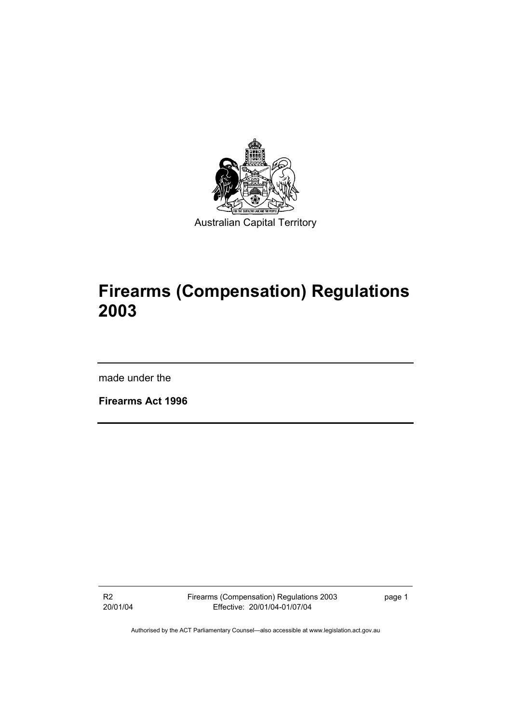

# **Firearms (Compensation) Regulations 2003**

made under the

**Firearms Act 1996** 

R2 20/01/04 Firearms (Compensation) Regulations 2003 Effective: 20/01/04-01/07/04

page 1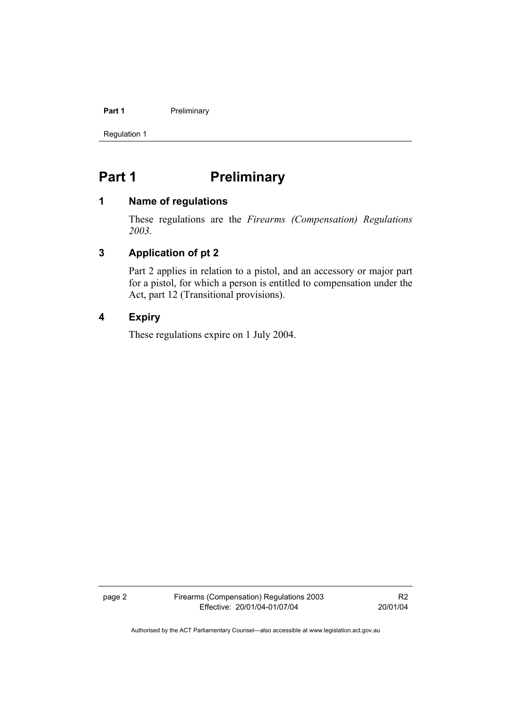#### **Part 1** Preliminary

Regulation 1

## Part 1 **Preliminary**

## **1 Name of regulations**

These regulations are the *Firearms (Compensation) Regulations 2003*.

## **3 Application of pt 2**

Part 2 applies in relation to a pistol, and an accessory or major part for a pistol, for which a person is entitled to compensation under the Act, part 12 (Transitional provisions).

## **4 Expiry**

These regulations expire on 1 July 2004.

page 2 Firearms (Compensation) Regulations 2003 Effective: 20/01/04-01/07/04

R2 20/01/04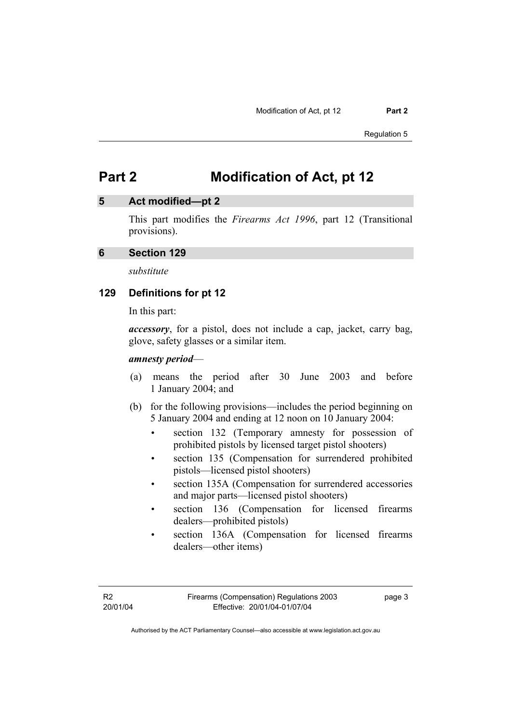## **5 Act modified—pt 2**

This part modifies the *Firearms Act 1996*, part 12 (Transitional provisions).

#### **6 Section 129**

*substitute* 

## **129 Definitions for pt 12**

In this part:

*accessory*, for a pistol, does not include a cap, jacket, carry bag, glove, safety glasses or a similar item.

#### *amnesty period*—

- (a) means the period after 30 June 2003 and before 1 January 2004; and
- (b) for the following provisions—includes the period beginning on 5 January 2004 and ending at 12 noon on 10 January 2004:
	- section 132 (Temporary amnesty for possession of prohibited pistols by licensed target pistol shooters)
	- section 135 (Compensation for surrendered prohibited pistols—licensed pistol shooters)
	- section 135A (Compensation for surrendered accessories and major parts—licensed pistol shooters)
	- section 136 (Compensation for licensed firearms dealers—prohibited pistols)
	- section 136A (Compensation for licensed firearms dealers—other items)

page 3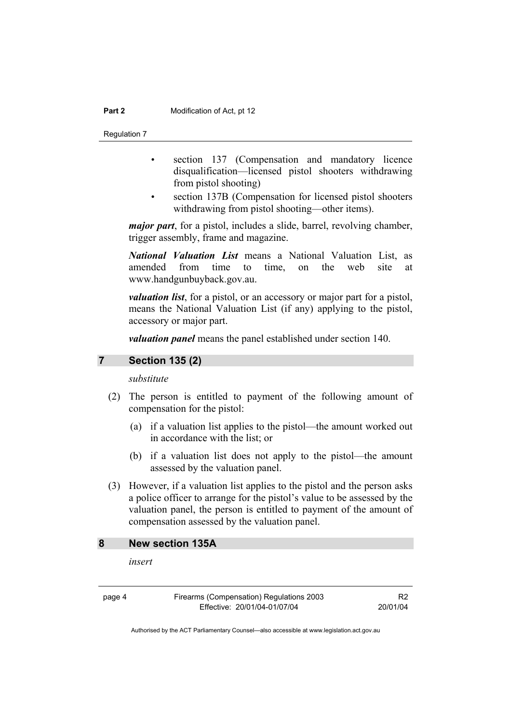Regulation 7

- section 137 (Compensation and mandatory licence disqualification—licensed pistol shooters withdrawing from pistol shooting)
- section 137B (Compensation for licensed pistol shooters withdrawing from pistol shooting—other items).

*major part*, for a pistol, includes a slide, barrel, revolving chamber, trigger assembly, frame and magazine.

*National Valuation List* means a National Valuation List, as amended from time to time, on the web site at www.handgunbuyback.gov.au.

*valuation list*, for a pistol, or an accessory or major part for a pistol, means the National Valuation List (if any) applying to the pistol, accessory or major part.

*valuation panel* means the panel established under section 140.

#### **7 Section 135 (2)**

*substitute* 

- (2) The person is entitled to payment of the following amount of compensation for the pistol:
	- (a) if a valuation list applies to the pistol—the amount worked out in accordance with the list; or
	- (b) if a valuation list does not apply to the pistol—the amount assessed by the valuation panel.
- (3) However, if a valuation list applies to the pistol and the person asks a police officer to arrange for the pistol's value to be assessed by the valuation panel, the person is entitled to payment of the amount of compensation assessed by the valuation panel.

## **8 New section 135A**

*insert* 

page 4 Firearms (Compensation) Regulations 2003 Effective: 20/01/04-01/07/04

R2 20/01/04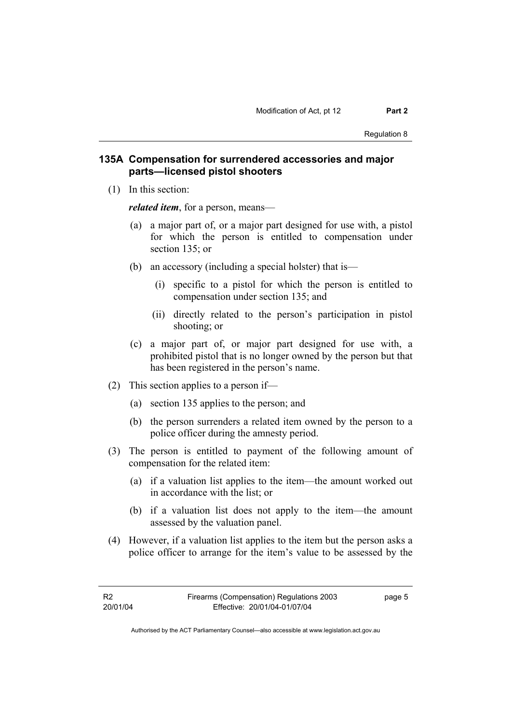## **135A Compensation for surrendered accessories and major parts—licensed pistol shooters**

(1) In this section:

*related item*, for a person, means—

- (a) a major part of, or a major part designed for use with, a pistol for which the person is entitled to compensation under section 135; or
- (b) an accessory (including a special holster) that is—
	- (i) specific to a pistol for which the person is entitled to compensation under section 135; and
	- (ii) directly related to the person's participation in pistol shooting; or
- (c) a major part of, or major part designed for use with, a prohibited pistol that is no longer owned by the person but that has been registered in the person's name.
- (2) This section applies to a person if—
	- (a) section 135 applies to the person; and
	- (b) the person surrenders a related item owned by the person to a police officer during the amnesty period.
- (3) The person is entitled to payment of the following amount of compensation for the related item:
	- (a) if a valuation list applies to the item—the amount worked out in accordance with the list; or
	- (b) if a valuation list does not apply to the item—the amount assessed by the valuation panel.
- (4) However, if a valuation list applies to the item but the person asks a police officer to arrange for the item's value to be assessed by the

page 5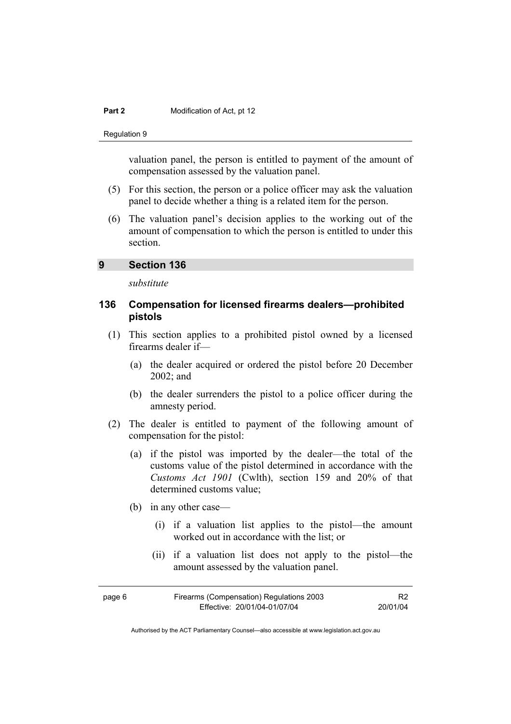Regulation 9

valuation panel, the person is entitled to payment of the amount of compensation assessed by the valuation panel.

- (5) For this section, the person or a police officer may ask the valuation panel to decide whether a thing is a related item for the person.
- (6) The valuation panel's decision applies to the working out of the amount of compensation to which the person is entitled to under this section.

### **9 Section 136**

*substitute* 

## **136 Compensation for licensed firearms dealers—prohibited pistols**

- (1) This section applies to a prohibited pistol owned by a licensed firearms dealer if—
	- (a) the dealer acquired or ordered the pistol before 20 December 2002; and
	- (b) the dealer surrenders the pistol to a police officer during the amnesty period.
- (2) The dealer is entitled to payment of the following amount of compensation for the pistol:
	- (a) if the pistol was imported by the dealer—the total of the customs value of the pistol determined in accordance with the *Customs Act 1901* (Cwlth), section 159 and 20% of that determined customs value;
	- (b) in any other case—
		- (i) if a valuation list applies to the pistol—the amount worked out in accordance with the list; or
		- (ii) if a valuation list does not apply to the pistol—the amount assessed by the valuation panel.

| page 6 | Firearms (Compensation) Regulations 2003 |          |
|--------|------------------------------------------|----------|
|        | Effective: 20/01/04-01/07/04             | 20/01/04 |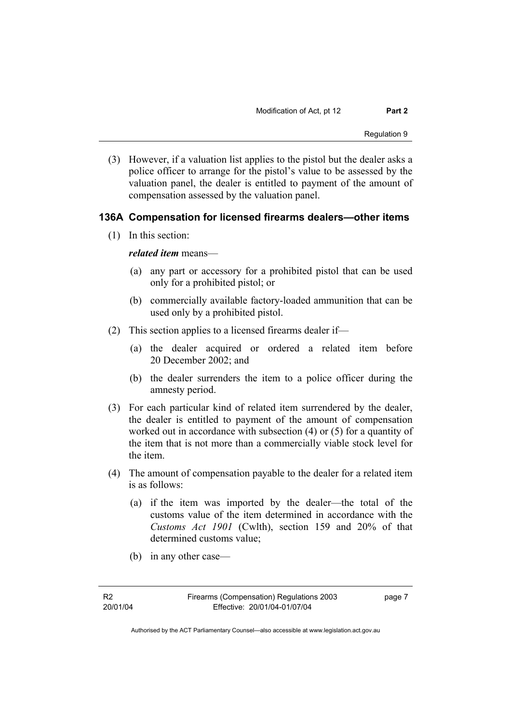(3) However, if a valuation list applies to the pistol but the dealer asks a police officer to arrange for the pistol's value to be assessed by the valuation panel, the dealer is entitled to payment of the amount of compensation assessed by the valuation panel.

## **136A Compensation for licensed firearms dealers—other items**

(1) In this section:

### *related item* means—

- (a) any part or accessory for a prohibited pistol that can be used only for a prohibited pistol; or
- (b) commercially available factory-loaded ammunition that can be used only by a prohibited pistol.
- (2) This section applies to a licensed firearms dealer if—
	- (a) the dealer acquired or ordered a related item before 20 December 2002; and
	- (b) the dealer surrenders the item to a police officer during the amnesty period.
- (3) For each particular kind of related item surrendered by the dealer, the dealer is entitled to payment of the amount of compensation worked out in accordance with subsection (4) or (5) for a quantity of the item that is not more than a commercially viable stock level for the item.
- (4) The amount of compensation payable to the dealer for a related item is as follows:
	- (a) if the item was imported by the dealer—the total of the customs value of the item determined in accordance with the *Customs Act 1901* (Cwlth), section 159 and 20% of that determined customs value;
	- (b) in any other case—

page 7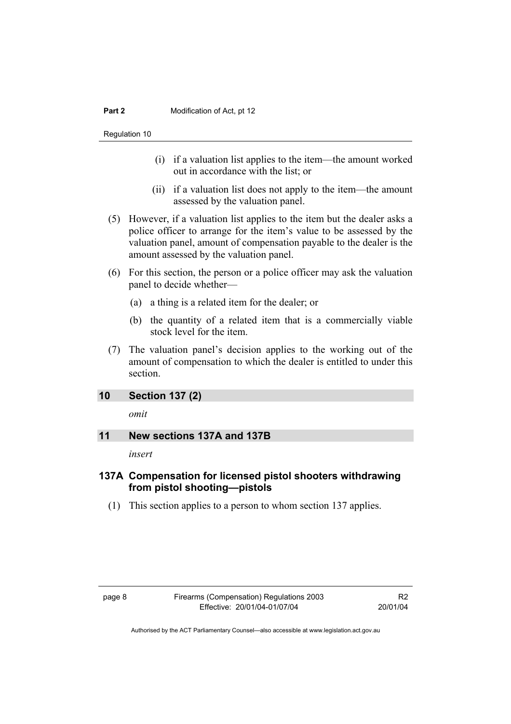Regulation 10

- (i) if a valuation list applies to the item—the amount worked out in accordance with the list; or
- (ii) if a valuation list does not apply to the item—the amount assessed by the valuation panel.
- (5) However, if a valuation list applies to the item but the dealer asks a police officer to arrange for the item's value to be assessed by the valuation panel, amount of compensation payable to the dealer is the amount assessed by the valuation panel.
- (6) For this section, the person or a police officer may ask the valuation panel to decide whether—
	- (a) a thing is a related item for the dealer; or
	- (b) the quantity of a related item that is a commercially viable stock level for the item.
- (7) The valuation panel's decision applies to the working out of the amount of compensation to which the dealer is entitled to under this section.

## **10 Section 137 (2)**

*omit* 

## **11 New sections 137A and 137B**

*insert* 

## **137A Compensation for licensed pistol shooters withdrawing from pistol shooting—pistols**

(1) This section applies to a person to whom section 137 applies.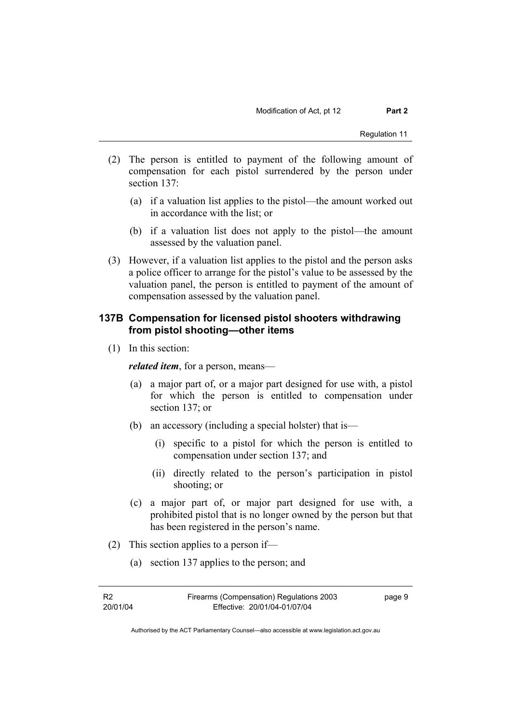- (2) The person is entitled to payment of the following amount of compensation for each pistol surrendered by the person under section 137:
	- (a) if a valuation list applies to the pistol—the amount worked out in accordance with the list; or
	- (b) if a valuation list does not apply to the pistol—the amount assessed by the valuation panel.
- (3) However, if a valuation list applies to the pistol and the person asks a police officer to arrange for the pistol's value to be assessed by the valuation panel, the person is entitled to payment of the amount of compensation assessed by the valuation panel.

## **137B Compensation for licensed pistol shooters withdrawing from pistol shooting—other items**

(1) In this section:

*related item*, for a person, means—

- (a) a major part of, or a major part designed for use with, a pistol for which the person is entitled to compensation under section 137; or
- (b) an accessory (including a special holster) that is—
	- (i) specific to a pistol for which the person is entitled to compensation under section 137; and
	- (ii) directly related to the person's participation in pistol shooting; or
- (c) a major part of, or major part designed for use with, a prohibited pistol that is no longer owned by the person but that has been registered in the person's name.
- (2) This section applies to a person if—
	- (a) section 137 applies to the person; and

| - R2     | Firearms (Compensation) Regulations 2003 | page 9 |
|----------|------------------------------------------|--------|
| 20/01/04 | Effective: 20/01/04-01/07/04             |        |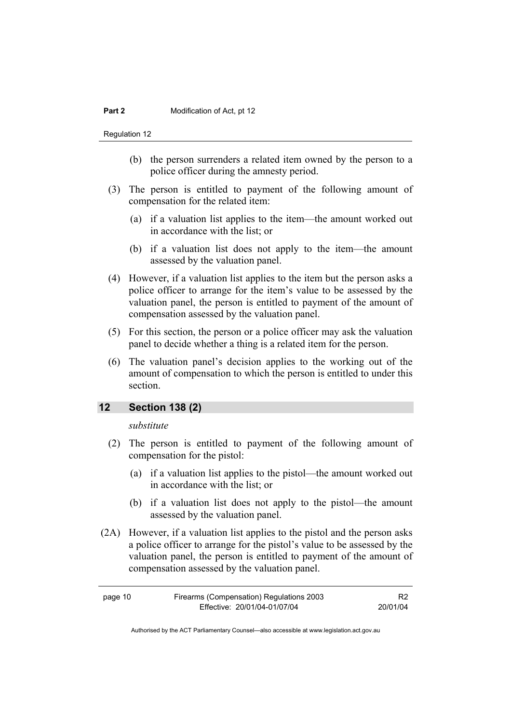Regulation 12

- (b) the person surrenders a related item owned by the person to a police officer during the amnesty period.
- (3) The person is entitled to payment of the following amount of compensation for the related item:
	- (a) if a valuation list applies to the item—the amount worked out in accordance with the list; or
	- (b) if a valuation list does not apply to the item—the amount assessed by the valuation panel.
- (4) However, if a valuation list applies to the item but the person asks a police officer to arrange for the item's value to be assessed by the valuation panel, the person is entitled to payment of the amount of compensation assessed by the valuation panel.
- (5) For this section, the person or a police officer may ask the valuation panel to decide whether a thing is a related item for the person.
- (6) The valuation panel's decision applies to the working out of the amount of compensation to which the person is entitled to under this section.

## **12 Section 138 (2)**

*substitute* 

- (2) The person is entitled to payment of the following amount of compensation for the pistol:
	- (a) if a valuation list applies to the pistol—the amount worked out in accordance with the list; or
	- (b) if a valuation list does not apply to the pistol—the amount assessed by the valuation panel.
- (2A) However, if a valuation list applies to the pistol and the person asks a police officer to arrange for the pistol's value to be assessed by the valuation panel, the person is entitled to payment of the amount of compensation assessed by the valuation panel.

| Firearms (Compensation) Regulations 2003<br>page 10 |                              |          |
|-----------------------------------------------------|------------------------------|----------|
|                                                     | Effective: 20/01/04-01/07/04 | 20/01/04 |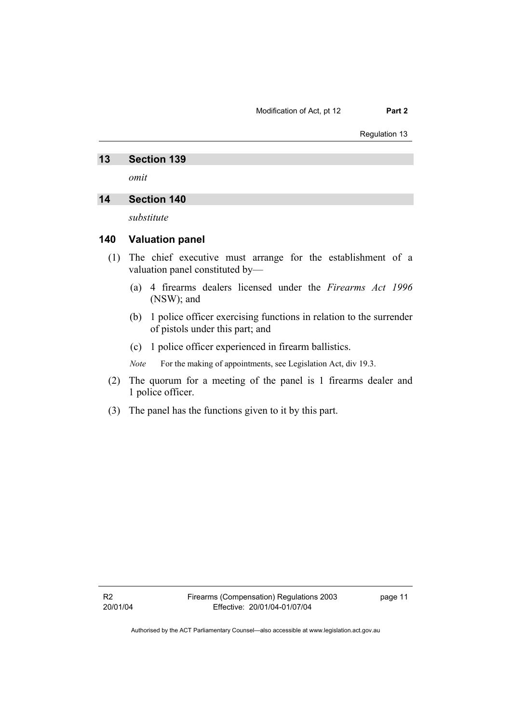#### Modification of Act, pt 12 **Part 2**

#### Regulation 13

#### **13 Section 139**

*omit* 

## **14 Section 140**

*substitute* 

#### **140 Valuation panel**

- (1) The chief executive must arrange for the establishment of a valuation panel constituted by—
	- (a) 4 firearms dealers licensed under the *Firearms Act 1996* (NSW); and
	- (b) 1 police officer exercising functions in relation to the surrender of pistols under this part; and
	- (c) 1 police officer experienced in firearm ballistics.

*Note* For the making of appointments, see Legislation Act, div 19.3.

- (2) The quorum for a meeting of the panel is 1 firearms dealer and 1 police officer.
- (3) The panel has the functions given to it by this part.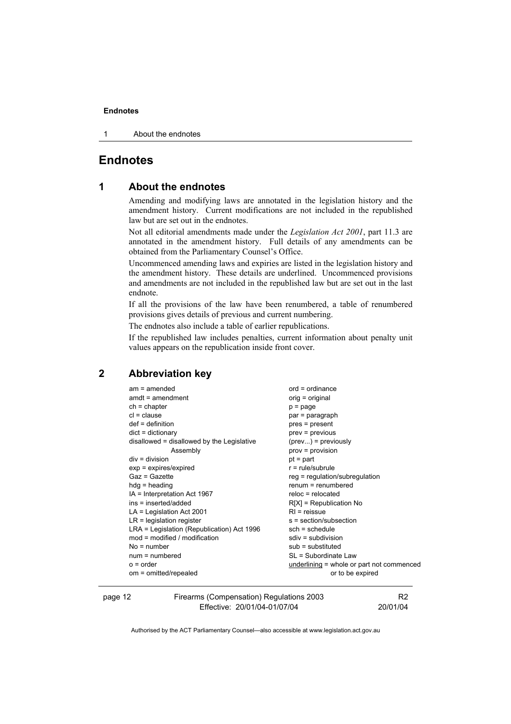#### **Endnotes**

1 About the endnotes

## **Endnotes**

### **1 About the endnotes**

Amending and modifying laws are annotated in the legislation history and the amendment history. Current modifications are not included in the republished law but are set out in the endnotes.

Not all editorial amendments made under the *Legislation Act 2001*, part 11.3 are annotated in the amendment history. Full details of any amendments can be obtained from the Parliamentary Counsel's Office.

Uncommenced amending laws and expiries are listed in the legislation history and the amendment history. These details are underlined. Uncommenced provisions and amendments are not included in the republished law but are set out in the last endnote.

If all the provisions of the law have been renumbered, a table of renumbered provisions gives details of previous and current numbering.

The endnotes also include a table of earlier republications.

If the republished law includes penalties, current information about penalty unit values appears on the republication inside front cover.

## **2 Abbreviation key**

| $am = amended$                             | $ord = ordinance$                           |
|--------------------------------------------|---------------------------------------------|
| $amdt = amendment$                         | orig = original                             |
| $ch = chapter$                             | $p = page$                                  |
| $cl = clause$                              | par = paragraph                             |
| $def = definition$                         | pres = present                              |
| $dict = dictionary$                        | $prev = previous$                           |
| disallowed = disallowed by the Legislative | $(\text{prev})$ = previously                |
| Assembly                                   | $prov = provision$                          |
| $div =$ division                           | $pt = part$                                 |
| $exp = expires/expired$                    | $r = rule/subrule$                          |
| Gaz = Gazette                              | $reg = regulation/subregulation$            |
| $hdg =$ heading                            | $renum = renumbered$                        |
| IA = Interpretation Act 1967               | $reloc = relocated$                         |
| ins = inserted/added                       | $R[X]$ = Republication No                   |
| $LA =$ Legislation Act 2001                | $RI$ = reissue                              |
| $LR =$ legislation register                | s = section/subsection                      |
| LRA = Legislation (Republication) Act 1996 | $sch = schedule$                            |
| $mod = modified / modified$                | $sdiv = subdivision$                        |
| $No = number$                              | $sub =$ substituted                         |
| $num = numbered$                           | SL = Subordinate Law                        |
| $o = order$                                | underlining $=$ whole or part not commenced |
| om = omitted/repealed                      | or to be expired                            |
|                                            |                                             |

page 12 Firearms (Compensation) Regulations 2003 Effective: 20/01/04-01/07/04

R2 20/01/04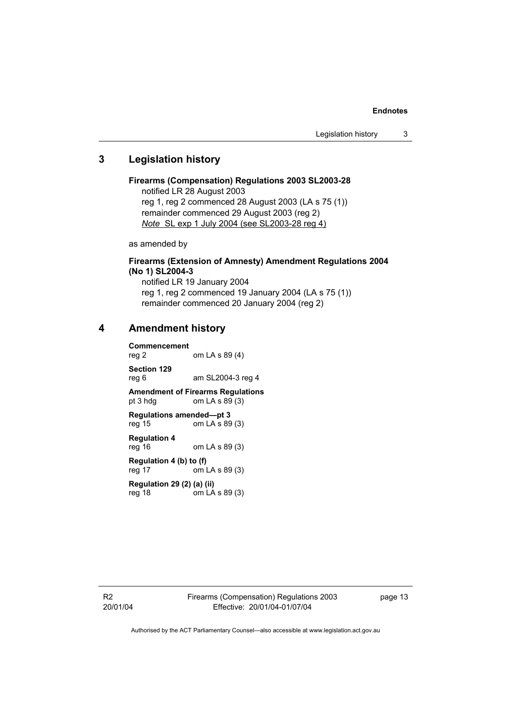#### **Endnotes**

## **3 Legislation history**

#### **Firearms (Compensation) Regulations 2003 SL2003-28**  notified LR 28 August 2003 reg 1, reg 2 commenced 28 August 2003 (LA s 75 (1))

remainder commenced 29 August 2003 (reg 2) *Note* SL exp 1 July 2004 (see SL2003-28 reg 4)

as amended by

## **Firearms (Extension of Amnesty) Amendment Regulations 2004 (No 1) SL2004-3**

notified LR 19 January 2004 reg 1, reg 2 commenced 19 January 2004 (LA s 75 (1)) remainder commenced 20 January 2004 (reg 2)

#### **4 Amendment history**

**Commencement**  om LA s 89 (4) **Section 129**  reg 6 am SL2004-3 reg 4 **Amendment of Firearms Regulations**<br>
om LA s 89 (3) om LA s  $89(3)$ **Regulations amended—pt 3**  reg 15 om LA s 89 (3) **Regulation 4**  reg 16 om LA s 89 (3) **Regulation 4 (b) to (f)**  reg 17 om LA s 89 (3)

**Regulation 29 (2) (a) (ii)**   $\text{cm}$  LA s 89 (3)

R2 20/01/04 page 13